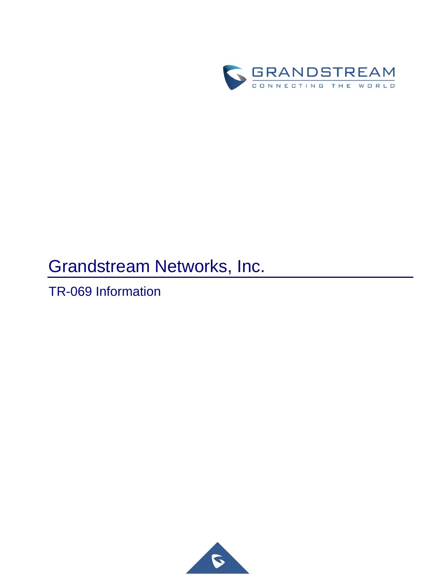

# Grandstream Networks, Inc.

TR-069 Information

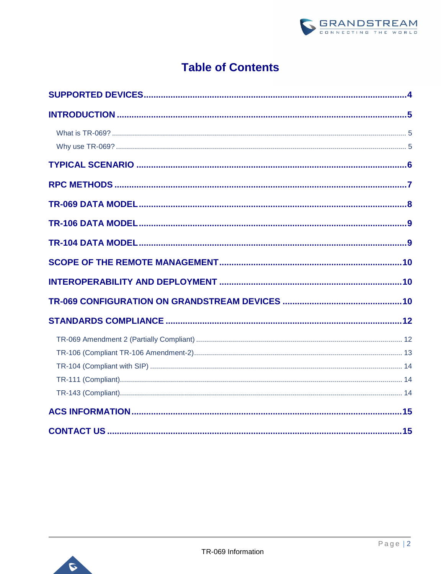

# **Table of Contents**

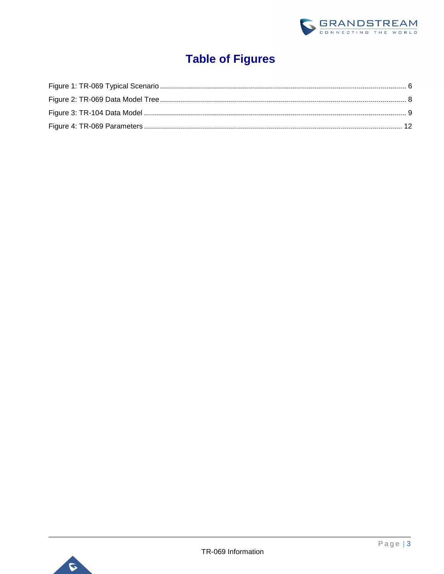

# **Table of Figures**

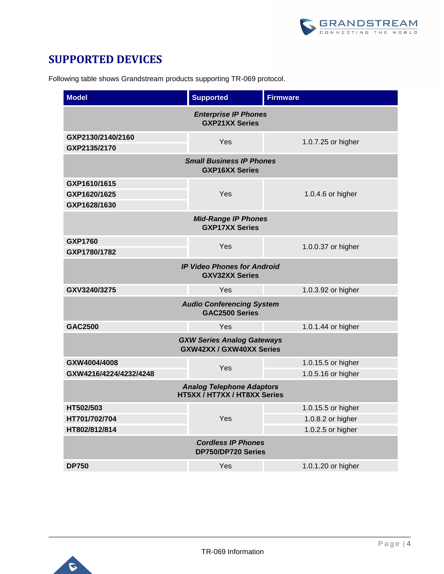

### <span id="page-3-0"></span>**SUPPORTED DEVICES**

Following table shows Grandstream products supporting TR-069 protocol.

| <b>Model</b><br><b>Supported</b><br><b>Firmware</b>                  |                    |  |  |  |  |  |
|----------------------------------------------------------------------|--------------------|--|--|--|--|--|
| <b>Enterprise IP Phones</b><br><b>GXP21XX Series</b>                 |                    |  |  |  |  |  |
| GXP2130/2140/2160<br>Yes                                             | 1.0.7.25 or higher |  |  |  |  |  |
| GXP2135/2170<br><b>Small Business IP Phones</b>                      |                    |  |  |  |  |  |
| <b>GXP16XX Series</b>                                                |                    |  |  |  |  |  |
| GXP1610/1615                                                         |                    |  |  |  |  |  |
| GXP1620/1625<br>Yes                                                  | 1.0.4.6 or higher  |  |  |  |  |  |
| GXP1628/1630                                                         |                    |  |  |  |  |  |
| <b>Mid-Range IP Phones</b><br><b>GXP17XX Series</b>                  |                    |  |  |  |  |  |
| <b>GXP1760</b><br>Yes                                                | 1.0.0.37 or higher |  |  |  |  |  |
| GXP1780/1782                                                         |                    |  |  |  |  |  |
| <b>IP Video Phones for Android</b><br><b>GXV32XX Series</b>          |                    |  |  |  |  |  |
| GXV3240/3275<br>Yes                                                  | 1.0.3.92 or higher |  |  |  |  |  |
| <b>Audio Conferencing System</b><br><b>GAC2500 Series</b>            |                    |  |  |  |  |  |
| GAC2500<br>Yes                                                       | 1.0.1.44 or higher |  |  |  |  |  |
| <b>GXW Series Analog Gateways</b><br><b>GXW42XX / GXW40XX Series</b> |                    |  |  |  |  |  |
| GXW4004/4008<br>Yes                                                  | 1.0.15.5 or higher |  |  |  |  |  |
| GXW4216/4224/4232/4248                                               | 1.0.5.16 or higher |  |  |  |  |  |
| <b>Analog Telephone Adaptors</b><br>HT5XX / HT7XX / HT8XX Series     |                    |  |  |  |  |  |
| HT502/503                                                            |                    |  |  |  |  |  |
|                                                                      | 1.0.15.5 or higher |  |  |  |  |  |
| Yes<br>HT701/702/704                                                 | 1.0.8.2 or higher  |  |  |  |  |  |
| HT802/812/814                                                        | 1.0.2.5 or higher  |  |  |  |  |  |
| <b>Cordless IP Phones</b><br>DP750/DP720 Series                      |                    |  |  |  |  |  |

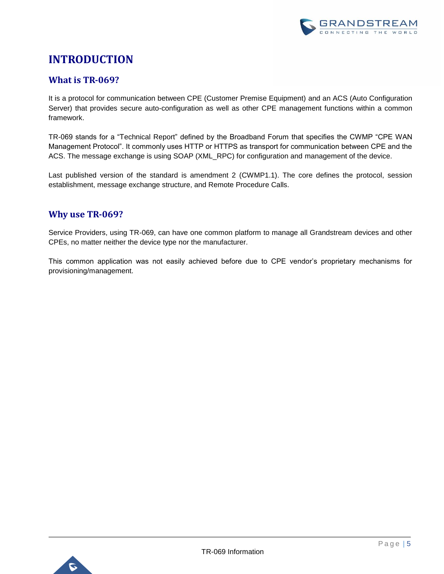

# <span id="page-4-0"></span>**INTRODUCTION**

### <span id="page-4-1"></span>**What is TR-069?**

It is a protocol for communication between CPE (Customer Premise Equipment) and an ACS (Auto Configuration Server) that provides secure auto-configuration as well as other CPE management functions within a common framework.

TR-069 stands for a "Technical Report" defined by the Broadband Forum that specifies the CWMP "CPE WAN Management Protocol". It commonly uses HTTP or HTTPS as transport for communication between CPE and the ACS. The message exchange is using SOAP (XML\_RPC) for configuration and management of the device.

Last published version of the standard is amendment 2 (CWMP1.1). The core defines the protocol, session establishment, message exchange structure, and Remote Procedure Calls.

### <span id="page-4-2"></span>**Why use TR-069?**

Service Providers, using TR-069, can have one common platform to manage all Grandstream devices and other CPEs, no matter neither the device type nor the manufacturer.

This common application was not easily achieved before due to CPE vendor's proprietary mechanisms for provisioning/management.

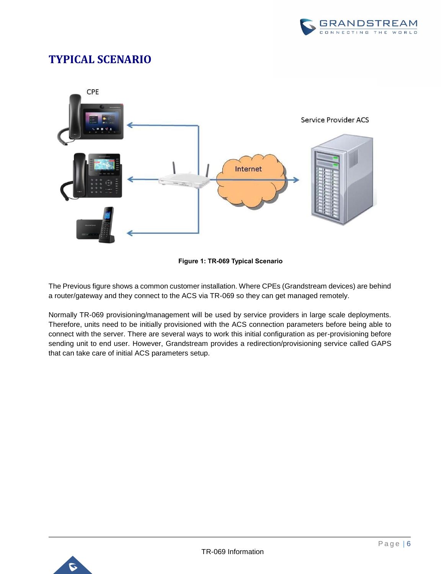

## <span id="page-5-0"></span>**TYPICAL SCENARIO**



**Figure 1: TR-069 Typical Scenario**

<span id="page-5-1"></span>The Previous figure shows a common customer installation. Where CPEs (Grandstream devices) are behind a router/gateway and they connect to the ACS via TR-069 so they can get managed remotely.

Normally TR-069 provisioning/management will be used by service providers in large scale deployments. Therefore, units need to be initially provisioned with the ACS connection parameters before being able to connect with the server. There are several ways to work this initial configuration as per-provisioning before sending unit to end user. However, Grandstream provides a redirection/provisioning service called GAPS that can take care of initial ACS parameters setup.

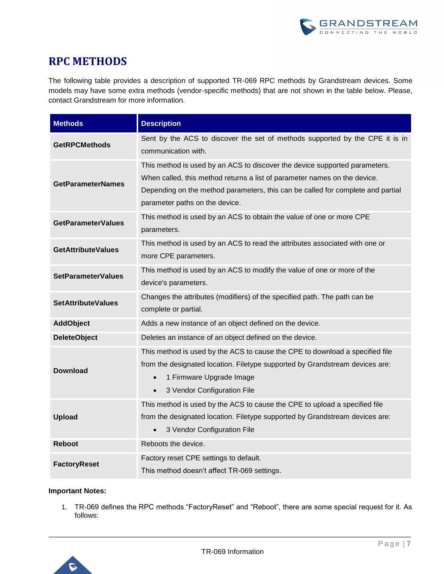

### <span id="page-6-0"></span>**RPC METHODS**

The following table provides a description of supported TR-069 RPC methods by Grandstream devices. Some models may have some extra methods (vendor-specific methods) that are not shown in the table below. Please, contact Grandstream for more information.

| <b>Methods</b>            | <b>Description</b>                                                                                                                                                                                                                                                           |  |  |  |
|---------------------------|------------------------------------------------------------------------------------------------------------------------------------------------------------------------------------------------------------------------------------------------------------------------------|--|--|--|
| <b>GetRPCMethods</b>      | Sent by the ACS to discover the set of methods supported by the CPE it is in<br>communication with.                                                                                                                                                                          |  |  |  |
| <b>GetParameterNames</b>  | This method is used by an ACS to discover the device supported parameters.<br>When called, this method returns a list of parameter names on the device.<br>Depending on the method parameters, this can be called for complete and partial<br>parameter paths on the device. |  |  |  |
| <b>GetParameterValues</b> | This method is used by an ACS to obtain the value of one or more CPE<br>parameters.                                                                                                                                                                                          |  |  |  |
| <b>GetAttributeValues</b> | This method is used by an ACS to read the attributes associated with one or<br>more CPE parameters.                                                                                                                                                                          |  |  |  |
| <b>SetParameterValues</b> | This method is used by an ACS to modify the value of one or more of the<br>device's parameters.                                                                                                                                                                              |  |  |  |
| <b>SetAttributeValues</b> | Changes the attributes (modifiers) of the specified path. The path can be<br>complete or partial.                                                                                                                                                                            |  |  |  |
| <b>AddObject</b>          | Adds a new instance of an object defined on the device.                                                                                                                                                                                                                      |  |  |  |
| <b>DeleteObject</b>       | Deletes an instance of an object defined on the device.                                                                                                                                                                                                                      |  |  |  |
| <b>Download</b>           | This method is used by the ACS to cause the CPE to download a specified file<br>from the designated location. Filetype supported by Grandstream devices are:<br>1 Firmware Upgrade Image<br>$\bullet$<br>3 Vendor Configuration File<br>$\bullet$                            |  |  |  |
| <b>Upload</b>             | This method is used by the ACS to cause the CPE to upload a specified file<br>from the designated location. Filetype supported by Grandstream devices are:<br>3 Vendor Configuration File<br>$\bullet$                                                                       |  |  |  |
| <b>Reboot</b>             | Reboots the device.                                                                                                                                                                                                                                                          |  |  |  |
| <b>FactoryReset</b>       | Factory reset CPE settings to default.<br>This method doesn't affect TR-069 settings.                                                                                                                                                                                        |  |  |  |

#### **Important Notes:**

1. TR-069 defines the RPC methods "FactoryReset" and "Reboot", there are some special request for it. As follows:

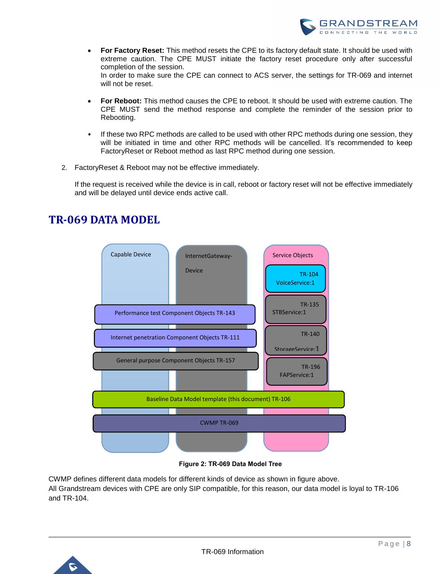

- **For Factory Reset:** This method resets the CPE to its factory default state. It should be used with extreme caution. The CPE MUST initiate the factory reset procedure only after successful completion of the session. In order to make sure the CPE can connect to ACS server, the settings for TR-069 and internet will not be reset.
- **For Reboot:** This method causes the CPE to reboot. It should be used with extreme caution. The CPE MUST send the method response and complete the reminder of the session prior to Rebooting.
- If these two RPC methods are called to be used with other RPC methods during one session, they will be initiated in time and other RPC methods will be cancelled. It's recommended to keep FactoryReset or Reboot method as last RPC method during one session.
- 2. FactoryReset & Reboot may not be effective immediately.

If the request is received while the device is in call, reboot or factory reset will not be effective immediately and will be delayed until device ends active call.

<span id="page-7-0"></span>



**Figure 2: TR-069 Data Model Tree**

<span id="page-7-1"></span>CWMP defines different data models for different kinds of device as shown in figure above. All Grandstream devices with CPE are only SIP compatible, for this reason, our data model is loyal to TR-106 and TR-104.

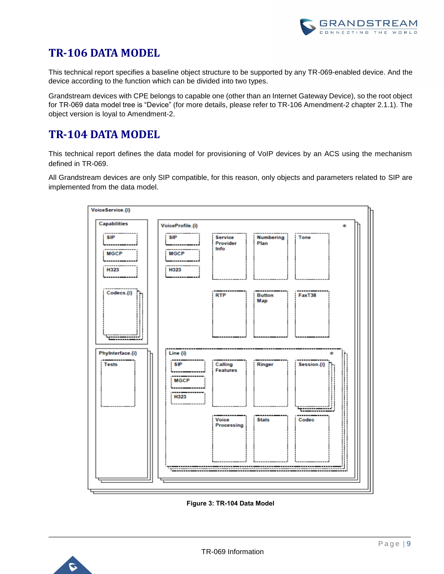# <span id="page-8-0"></span>**TR-106 DATA MODEL**

This technical report specifies a baseline object structure to be supported by any TR-069-enabled device. And the device according to the function which can be divided into two types.

Grandstream devices with CPE belongs to capable one (other than an Internet Gateway Device), so the root object for TR-069 data model tree is "Device" (for more details, please refer to TR-106 Amendment-2 chapter 2.1.1). The object version is loyal to Amendment-2.

# <span id="page-8-1"></span>**TR-104 DATA MODEL**

This technical report defines the data model for provisioning of VoIP devices by an ACS using the mechanism defined in TR-069.

All Grandstream devices are only SIP compatible, for this reason, only objects and parameters related to SIP are implemented from the data model.



**Figure 3: TR-104 Data Model**

<span id="page-8-2"></span>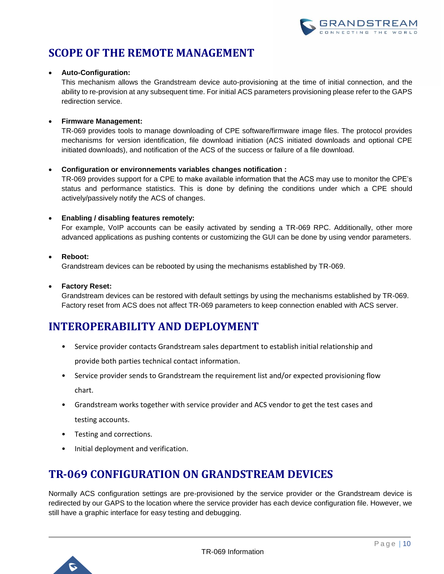

# <span id="page-9-0"></span>**SCOPE OF THE REMOTE MANAGEMENT**

#### • **Auto-Configuration:**

This mechanism allows the Grandstream device auto-provisioning at the time of initial connection, and the ability to re-provision at any subsequent time. For initial ACS parameters provisioning please refer to the GAPS redirection service.

#### • **Firmware Management:**

TR-069 provides tools to manage downloading of CPE software/firmware image files. The protocol provides mechanisms for version identification, file download initiation (ACS initiated downloads and optional CPE initiated downloads), and notification of the ACS of the success or failure of a file download.

#### • **Configuration or environnements variables changes notification :**

TR-069 provides support for a CPE to make available information that the ACS may use to monitor the CPE's status and performance statistics. This is done by defining the conditions under which a CPE should actively/passively notify the ACS of changes.

#### • **Enabling / disabling features remotely:**

For example, VoIP accounts can be easily activated by sending a TR-069 RPC. Additionally, other more advanced applications as pushing contents or customizing the GUI can be done by using vendor parameters.

#### • **Reboot:**

Grandstream devices can be rebooted by using the mechanisms established by TR-069.

#### • **Factory Reset:**

Grandstream devices can be restored with default settings by using the mechanisms established by TR-069. Factory reset from ACS does not affect TR-069 parameters to keep connection enabled with ACS server.

### <span id="page-9-1"></span>**INTEROPERABILITY AND DEPLOYMENT**

- Service provider contacts Grandstream sales department to establish initial relationship and provide both parties technical contact information.
- Service provider sends to Grandstream the requirement list and/or expected provisioning flow chart.
- Grandstream works together with service provider and ACS vendor to get the test cases and testing accounts.
- Testing and corrections.
- Initial deployment and verification.

### <span id="page-9-2"></span>**TR-069 CONFIGURATION ON GRANDSTREAM DEVICES**

Normally ACS configuration settings are pre-provisioned by the service provider or the Grandstream device is redirected by our GAPS to the location where the service provider has each device configuration file. However, we still have a graphic interface for easy testing and debugging.

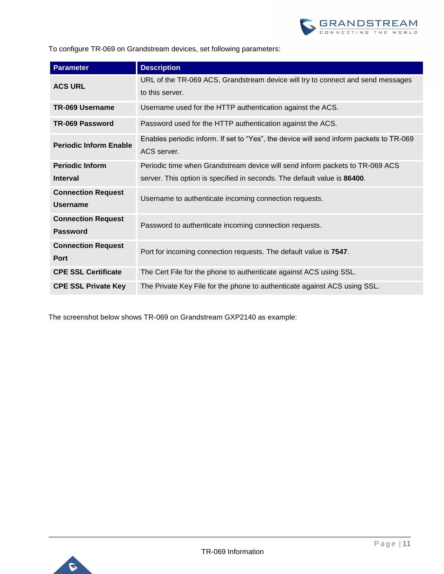

To configure TR-069 on Grandstream devices, set following parameters:

| <b>Parameter</b>              | <b>Description</b>                                                                      |  |  |  |
|-------------------------------|-----------------------------------------------------------------------------------------|--|--|--|
| <b>ACS URL</b>                | URL of the TR-069 ACS, Grandstream device will try to connect and send messages         |  |  |  |
|                               | to this server.                                                                         |  |  |  |
| <b>TR-069 Username</b>        | Username used for the HTTP authentication against the ACS.                              |  |  |  |
| <b>TR-069 Password</b>        | Password used for the HTTP authentication against the ACS.                              |  |  |  |
| <b>Periodic Inform Enable</b> | Enables periodic inform. If set to "Yes", the device will send inform packets to TR-069 |  |  |  |
|                               | ACS server.                                                                             |  |  |  |
| <b>Periodic Inform</b>        | Periodic time when Grandstream device will send inform packets to TR-069 ACS            |  |  |  |
| <b>Interval</b>               | server. This option is specified in seconds. The default value is 86400.                |  |  |  |
| <b>Connection Request</b>     | Username to authenticate incoming connection requests.                                  |  |  |  |
| <b>Username</b>               |                                                                                         |  |  |  |
| <b>Connection Request</b>     | Password to authenticate incoming connection requests.                                  |  |  |  |
| <b>Password</b>               |                                                                                         |  |  |  |
| <b>Connection Request</b>     | Port for incoming connection requests. The default value is 7547.                       |  |  |  |
| <b>Port</b>                   |                                                                                         |  |  |  |
| <b>CPE SSL Certificate</b>    | The Cert File for the phone to authenticate against ACS using SSL.                      |  |  |  |
| <b>CPE SSL Private Key</b>    | The Private Key File for the phone to authenticate against ACS using SSL.               |  |  |  |

The screenshot below shows TR-069 on Grandstream GXP2140 as example:

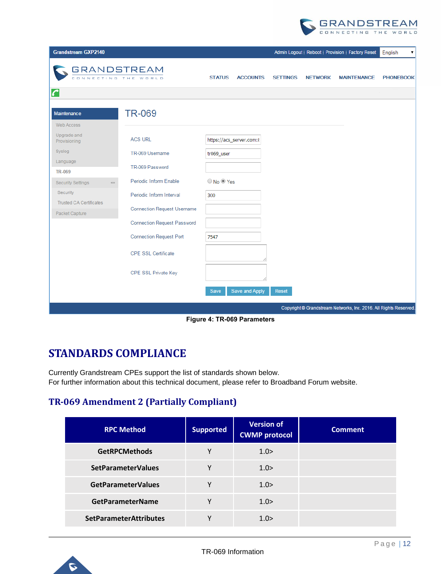

| <b>Grandstream GXP2140</b>                                                |                                    |                          |                 |                 |                | Admin Logout   Reboot   Provision   Factory Reset                 | English<br>۷     |
|---------------------------------------------------------------------------|------------------------------------|--------------------------|-----------------|-----------------|----------------|-------------------------------------------------------------------|------------------|
| <b>GRANDSTREAM</b><br>CONNECTING THE WORLD                                |                                    | <b>STATUS</b>            | <b>ACCOUNTS</b> | <b>SETTINGS</b> | <b>NETWORK</b> | <b>MAINTENANCE</b>                                                | <b>PHONEBOOK</b> |
| C                                                                         |                                    |                          |                 |                 |                |                                                                   |                  |
| Maintenance<br>Web Access                                                 | <b>TR-069</b>                      |                          |                 |                 |                |                                                                   |                  |
| Upgrade and<br>Provisioning                                               | <b>ACS URL</b>                     | https://acs_server.com:8 |                 |                 |                |                                                                   |                  |
| Syslog                                                                    | TR-069 Username                    | tr069_user               |                 |                 |                |                                                                   |                  |
| Language                                                                  | TR-069 Password                    |                          |                 |                 |                |                                                                   |                  |
| <b>TR-069</b><br><b>Security Settings</b><br>$\qquad \qquad \blacksquare$ | Periodic Inform Enable             | O No O Yes               |                 |                 |                |                                                                   |                  |
| Security                                                                  | Periodic Inform Interval           | 300                      |                 |                 |                |                                                                   |                  |
| <b>Trusted CA Certificates</b><br>Packet Capture                          | <b>Connection Request Username</b> |                          |                 |                 |                |                                                                   |                  |
|                                                                           | <b>Connection Request Password</b> |                          |                 |                 |                |                                                                   |                  |
|                                                                           | <b>Connection Request Port</b>     | 7547                     |                 |                 |                |                                                                   |                  |
|                                                                           | <b>CPE SSL Certificate</b>         |                          |                 |                 |                |                                                                   |                  |
|                                                                           | CPE SSL Private Key                |                          |                 |                 |                |                                                                   |                  |
|                                                                           |                                    | Save and Apply<br>Save   |                 | Reset           |                |                                                                   |                  |
|                                                                           |                                    |                          |                 |                 |                | Copyright @ Grandstream Networks, Inc. 2016. All Rights Reserved. |                  |

**Figure 4: TR-069 Parameters**

## <span id="page-11-2"></span><span id="page-11-0"></span>**STANDARDS COMPLIANCE**

Currently Grandstream CPEs support the list of standards shown below. For further information about this technical document, please refer to Broadband Forum website.

### <span id="page-11-1"></span>**TR-069 Amendment 2 (Partially Compliant)**

| <b>RPC Method</b>             | <b>Supported</b> | <b>Version of</b><br><b>CWMP</b> protocol | <b>Comment</b> |
|-------------------------------|------------------|-------------------------------------------|----------------|
| <b>GetRPCMethods</b>          | γ                | 1.0>                                      |                |
| <b>SetParameterValues</b>     | γ                | 1.0>                                      |                |
| <b>GetParameterValues</b>     | ٧                | 1.0>                                      |                |
| <b>GetParameterName</b>       | ٧                | 1.0>                                      |                |
| <b>SetParameterAttributes</b> | v                | 1.0>                                      |                |

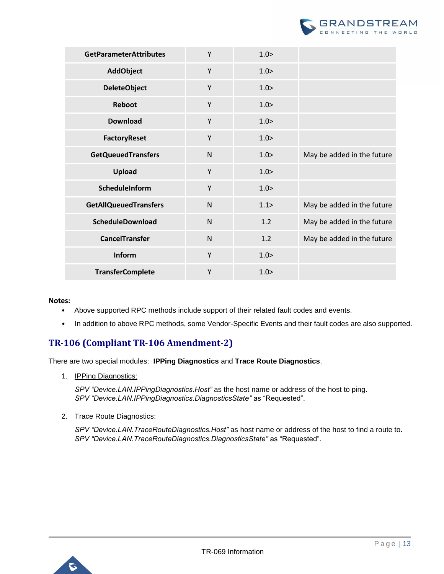

| <b>GetParameterAttributes</b> | Y            | 1.0>  |                            |
|-------------------------------|--------------|-------|----------------------------|
| <b>AddObject</b>              | Y            | 1.0>  |                            |
| <b>DeleteObject</b>           | Y            | 1.0>  |                            |
| Reboot                        | Y            | 1.0>  |                            |
| <b>Download</b>               | Y            | 1.0>  |                            |
| <b>FactoryReset</b>           | Y            | 1.0>  |                            |
| <b>GetQueuedTransfers</b>     | $\mathsf{N}$ | 1.0>  | May be added in the future |
| Upload                        | Y            | 1.0>  |                            |
| ScheduleInform                | Y            | 1.0>  |                            |
| <b>GetAllQueuedTransfers</b>  | $\mathsf{N}$ | 1.1 > | May be added in the future |
| ScheduleDownload              | $\mathsf{N}$ | 1.2   | May be added in the future |
| <b>CancelTransfer</b>         | $\mathsf{N}$ | 1.2   | May be added in the future |
| Inform                        | Y            | 1.0>  |                            |
| <b>TransferComplete</b>       | Y            | 1.0>  |                            |

#### **Notes:**

- Above supported RPC methods include support of their related fault codes and events.
- In addition to above RPC methods, some Vendor-Specific Events and their fault codes are also supported.

### <span id="page-12-0"></span>**TR-106 (Compliant TR-106 Amendment-2)**

There are two special modules: **IPPing Diagnostics** and **Trace Route Diagnostics**.

1. **IPPing Diagnostics:** 

*SPV "Device.LAN.IPPingDiagnostics.Host"* as the host name or address of the host to ping. *SPV "Device.LAN.IPPingDiagnostics.DiagnosticsState"* as "Requested".

2. Trace Route Diagnostics:

*SPV "Device.LAN.TraceRouteDiagnostics.Host"* as host name or address of the host to find a route to. *SPV "Device.LAN.TraceRouteDiagnostics.DiagnosticsState"* as "Requested".

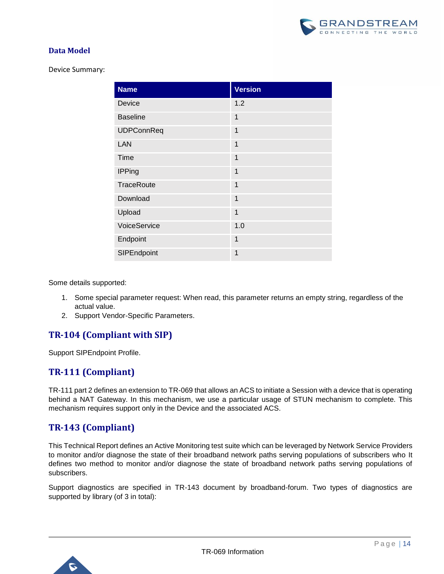

#### **Data Model**

Device Summary:

| <b>Name</b>       | <b>Version</b> |
|-------------------|----------------|
| Device            | 1.2            |
| <b>Baseline</b>   | 1              |
| <b>UDPConnReq</b> | 1              |
| LAN               | 1              |
| Time              | $\mathbf 1$    |
| <b>IPPing</b>     | 1              |
| <b>TraceRoute</b> | 1              |
| Download          | 1              |
| Upload            | 1              |
| VoiceService      | 1.0            |
| Endpoint          | 1              |
| SIPEndpoint       | 1              |

Some details supported:

- 1. Some special parameter request: When read, this parameter returns an empty string, regardless of the actual value.
- 2. Support Vendor-Specific Parameters.

### <span id="page-13-0"></span>**TR-104 (Compliant with SIP)**

Support SIPEndpoint Profile.

### <span id="page-13-1"></span>**TR-111 (Compliant)**

TR-111 part 2 defines an extension to TR-069 that allows an ACS to initiate a Session with a device that is operating behind a NAT Gateway. In this mechanism, we use a particular usage of STUN mechanism to complete. This mechanism requires support only in the Device and the associated ACS.

### <span id="page-13-2"></span>**TR-143 (Compliant)**

This Technical Report defines an Active Monitoring test suite which can be leveraged by Network Service Providers to monitor and/or diagnose the state of their broadband network paths serving populations of subscribers who It defines two method to monitor and/or diagnose the state of broadband network paths serving populations of subscribers.

Support diagnostics are specified in TR-143 document by broadband-forum. Two types of diagnostics are supported by library (of 3 in total):